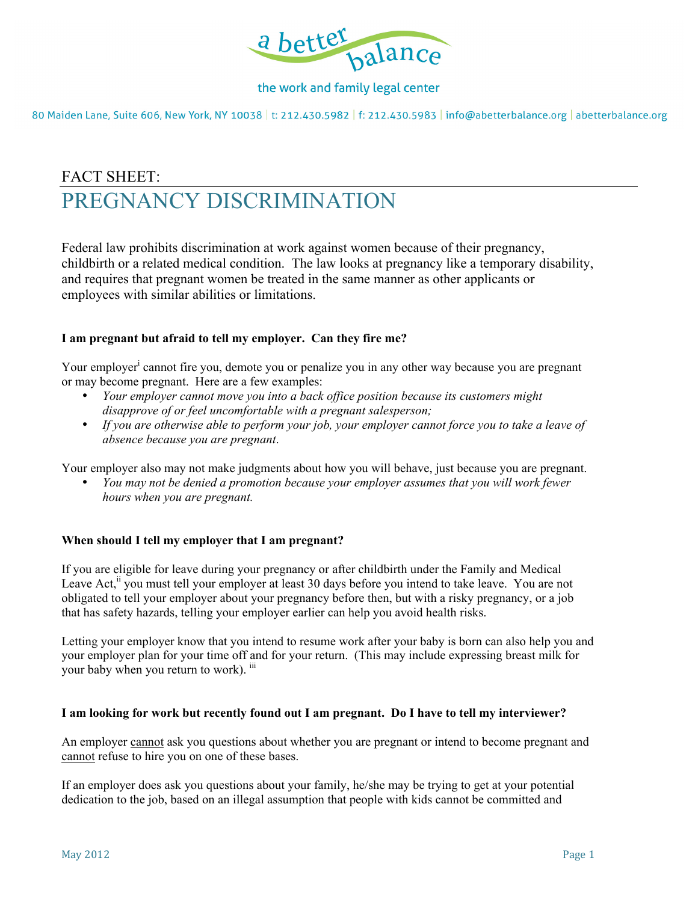

## the work and family legal center

80 Maiden Lane, Suite 606, New York, NY 10038 | t: 212.430.5982 | f: 212.430.5983 | info@abetterbalance.org | abetterbalance.org

# FACT SHEET: PREGNANCY DISCRIMINATION

Federal law prohibits discrimination at work against women because of their pregnancy, childbirth or a related medical condition. The law looks at pregnancy like a temporary disability, and requires that pregnant women be treated in the same manner as other applicants or employees with similar abilities or limitations.

### **I am pregnant but afraid to tell my employer. Can they fire me?**

Your employer<sup>i</sup> cannot fire you, demote you or penalize you in any other way because you are pregnant or may become pregnant. Here are a few examples:

- *Your employer cannot move you into a back office position because its customers might disapprove of or feel uncomfortable with a pregnant salesperson;*
- *If you are otherwise able to perform your job, your employer cannot force you to take a leave of absence because you are pregnant*.

Your employer also may not make judgments about how you will behave, just because you are pregnant.

• *You may not be denied a promotion because your employer assumes that you will work fewer hours when you are pregnant.* 

### **When should I tell my employer that I am pregnant?**

If you are eligible for leave during your pregnancy or after childbirth under the Family and Medical Leave Act,<sup>ii</sup> you must tell your employer at least 30 days before you intend to take leave. You are not obligated to tell your employer about your pregnancy before then, but with a risky pregnancy, or a job that has safety hazards, telling your employer earlier can help you avoid health risks.

Letting your employer know that you intend to resume work after your baby is born can also help you and your employer plan for your time off and for your return. (This may include expressing breast milk for your baby when you return to work). iii

### **I am looking for work but recently found out I am pregnant. Do I have to tell my interviewer?**

An employer cannot ask you questions about whether you are pregnant or intend to become pregnant and cannot refuse to hire you on one of these bases.

If an employer does ask you questions about your family, he/she may be trying to get at your potential dedication to the job, based on an illegal assumption that people with kids cannot be committed and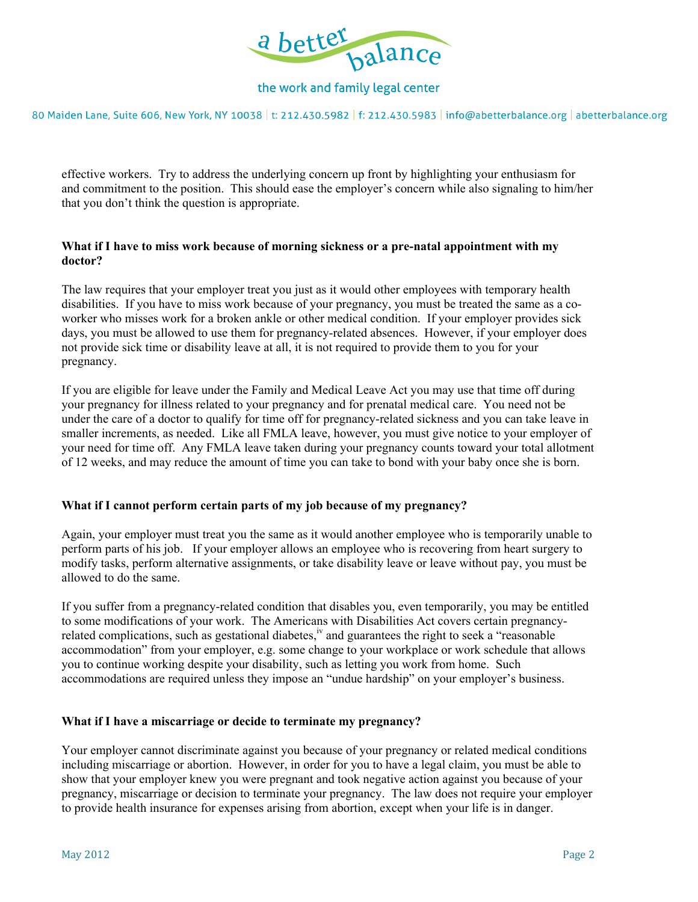

## the work and family legal center

80 Maiden Lane, Suite 606, New York, NY 10038 | t: 212.430.5982 | f: 212.430.5983 | info@abetterbalance.org | abetterbalance.org

effective workers. Try to address the underlying concern up front by highlighting your enthusiasm for and commitment to the position. This should ease the employer's concern while also signaling to him/her that you don't think the question is appropriate.

#### **What if I have to miss work because of morning sickness or a pre-natal appointment with my doctor?**

The law requires that your employer treat you just as it would other employees with temporary health disabilities. If you have to miss work because of your pregnancy, you must be treated the same as a coworker who misses work for a broken ankle or other medical condition. If your employer provides sick days, you must be allowed to use them for pregnancy-related absences. However, if your employer does not provide sick time or disability leave at all, it is not required to provide them to you for your pregnancy.

If you are eligible for leave under the Family and Medical Leave Act you may use that time off during your pregnancy for illness related to your pregnancy and for prenatal medical care. You need not be under the care of a doctor to qualify for time off for pregnancy-related sickness and you can take leave in smaller increments, as needed. Like all FMLA leave, however, you must give notice to your employer of your need for time off. Any FMLA leave taken during your pregnancy counts toward your total allotment of 12 weeks, and may reduce the amount of time you can take to bond with your baby once she is born.

### **What if I cannot perform certain parts of my job because of my pregnancy?**

Again, your employer must treat you the same as it would another employee who is temporarily unable to perform parts of his job. If your employer allows an employee who is recovering from heart surgery to modify tasks, perform alternative assignments, or take disability leave or leave without pay, you must be allowed to do the same.

If you suffer from a pregnancy-related condition that disables you, even temporarily, you may be entitled to some modifications of your work. The Americans with Disabilities Act covers certain pregnancyrelated complications, such as gestational diabetes,<sup>iv</sup> and guarantees the right to seek a "reasonable" accommodation" from your employer, e.g. some change to your workplace or work schedule that allows you to continue working despite your disability, such as letting you work from home. Such accommodations are required unless they impose an "undue hardship" on your employer's business.

#### **What if I have a miscarriage or decide to terminate my pregnancy?**

Your employer cannot discriminate against you because of your pregnancy or related medical conditions including miscarriage or abortion. However, in order for you to have a legal claim, you must be able to show that your employer knew you were pregnant and took negative action against you because of your pregnancy, miscarriage or decision to terminate your pregnancy. The law does not require your employer to provide health insurance for expenses arising from abortion, except when your life is in danger.